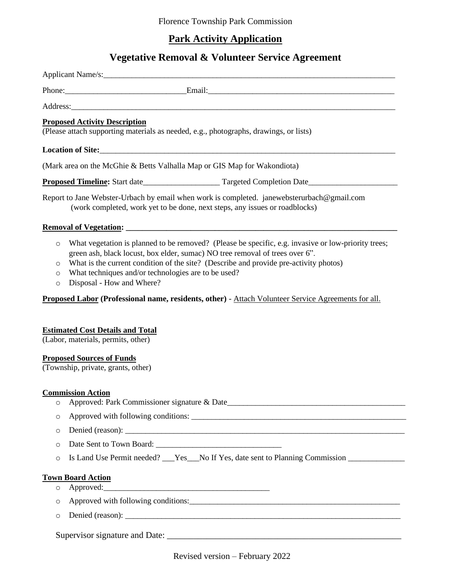## **Park Activity Application**

## **Vegetative Removal & Volunteer Service Agreement**

|                                          | Phone: Email: Email: Email:                                                                                                                                                                                                                                                                                                                                      |
|------------------------------------------|------------------------------------------------------------------------------------------------------------------------------------------------------------------------------------------------------------------------------------------------------------------------------------------------------------------------------------------------------------------|
|                                          | Address: Address: Address: Address: Address: Address: Address: Address: Address: Address: Address: Address: Address: Address: Address: Address: Address: Address: Address: Address: Address: Address: Address: Address: Addres                                                                                                                                   |
|                                          | <b>Proposed Activity Description</b><br>(Please attach supporting materials as needed, e.g., photographs, drawings, or lists)                                                                                                                                                                                                                                    |
|                                          |                                                                                                                                                                                                                                                                                                                                                                  |
|                                          | (Mark area on the McGhie & Betts Valhalla Map or GIS Map for Wakondiota)                                                                                                                                                                                                                                                                                         |
|                                          |                                                                                                                                                                                                                                                                                                                                                                  |
|                                          | Report to Jane Webster-Urbach by email when work is completed. janewebsterurbach@gmail.com<br>(work completed, work yet to be done, next steps, any issues or roadblocks)                                                                                                                                                                                        |
|                                          |                                                                                                                                                                                                                                                                                                                                                                  |
| $\circ$<br>$\circ$<br>$\circ$<br>$\circ$ | What vegetation is planned to be removed? (Please be specific, e.g. invasive or low-priority trees;<br>green ash, black locust, box elder, sumac) NO tree removal of trees over 6".<br>What is the current condition of the site? (Describe and provide pre-activity photos)<br>What techniques and/or technologies are to be used?<br>Disposal - How and Where? |
|                                          | Proposed Labor (Professional name, residents, other) - Attach Volunteer Service Agreements for all.                                                                                                                                                                                                                                                              |
|                                          | <b>Estimated Cost Details and Total</b><br>(Labor, materials, permits, other)<br><b>Proposed Sources of Funds</b>                                                                                                                                                                                                                                                |
|                                          | (Township, private, grants, other)                                                                                                                                                                                                                                                                                                                               |
| $\circ$                                  | <b>Commission Action</b>                                                                                                                                                                                                                                                                                                                                         |
| $\circ$                                  |                                                                                                                                                                                                                                                                                                                                                                  |
| $\circ$                                  |                                                                                                                                                                                                                                                                                                                                                                  |
| $\circ$                                  |                                                                                                                                                                                                                                                                                                                                                                  |
| $\circ$                                  | Is Land Use Permit needed? ___ Yes___ No If Yes, date sent to Planning Commission                                                                                                                                                                                                                                                                                |
| O                                        | <b>Town Board Action</b>                                                                                                                                                                                                                                                                                                                                         |
|                                          |                                                                                                                                                                                                                                                                                                                                                                  |
| $\circ$                                  |                                                                                                                                                                                                                                                                                                                                                                  |

Supervisor signature and Date: \_\_\_\_\_\_\_\_\_\_\_\_\_\_\_\_\_\_\_\_\_\_\_\_\_\_\_\_\_\_\_\_\_\_\_\_\_\_\_\_\_\_\_\_\_\_\_\_\_\_\_\_\_